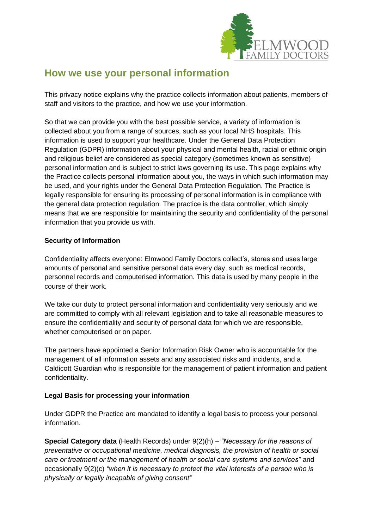

# **How we use your personal information**

This privacy notice explains why the practice collects information about patients, members of staff and visitors to the practice, and how we use your information.

So that we can provide you with the best possible service, a variety of information is collected about you from a range of sources, such as your local NHS hospitals. This information is used to support your healthcare. Under the General Data Protection Regulation (GDPR) information about your physical and mental health, racial or ethnic origin and religious belief are considered as special category (sometimes known as sensitive) personal information and is subject to strict laws governing its use. This page explains why the Practice collects personal information about you, the ways in which such information may be used, and your rights under the General Data Protection Regulation. The Practice is legally responsible for ensuring its processing of personal information is in compliance with the general data protection regulation. The practice is the data controller, which simply means that we are responsible for maintaining the security and confidentiality of the personal information that you provide us with.

# **Security of Information**

Confidentiality affects everyone: Elmwood Family Doctors collect's, stores and uses large amounts of personal and sensitive personal data every day, such as medical records, personnel records and computerised information. This data is used by many people in the course of their work.

We take our duty to protect personal information and confidentiality very seriously and we are committed to comply with all relevant legislation and to take all reasonable measures to ensure the confidentiality and security of personal data for which we are responsible, whether computerised or on paper.

The partners have appointed a Senior Information Risk Owner who is accountable for the management of all information assets and any associated risks and incidents, and a Caldicott Guardian who is responsible for the management of patient information and patient confidentiality.

# **Legal Basis for processing your information**

Under GDPR the Practice are mandated to identify a legal basis to process your personal information.

**Special Category data** (Health Records) under 9(2)(h) – *"Necessary for the reasons of preventative or occupational medicine, medical diagnosis, the provision of health or social care or treatment or the management of health or social care systems and services"* and occasionally 9(2)(c) *"when it is necessary to protect the vital interests of a person who is physically or legally incapable of giving consent"*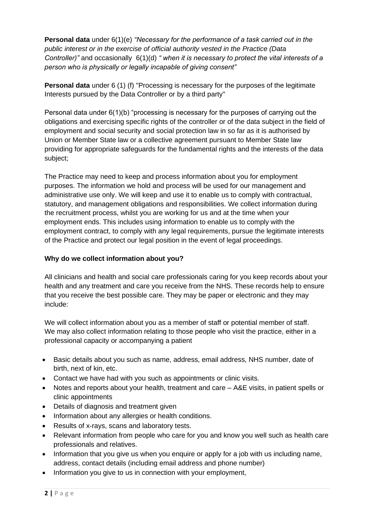**Personal data** under 6(1)(e) *"Necessary for the performance of a task carried out in the public interest or in the exercise of official authority vested in the Practice (Data Controller)"* and occasionally 6(1)(d) *" when it is necessary to protect the vital interests of a person who is physically or legally incapable of giving consent"*

**Personal data** under 6 (1) (f) "Processing is necessary for the purposes of the legitimate Interests pursued by the Data Controller or by a third party"

Personal data under 6(1)(b) "processing is necessary for the purposes of carrying out the obligations and exercising specific rights of the controller or of the data subject in the field of employment and social security and social protection law in so far as it is authorised by Union or Member State law or a collective agreement pursuant to Member State law providing for appropriate safeguards for the fundamental rights and the interests of the data subject;

The Practice may need to keep and process information about you for employment purposes. The information we hold and process will be used for our management and administrative use only. We will keep and use it to enable us to comply with contractual, statutory, and management obligations and responsibilities. We collect information during the recruitment process, whilst you are working for us and at the time when your employment ends. This includes using information to enable us to comply with the employment contract, to comply with any legal requirements, pursue the legitimate interests of the Practice and protect our legal position in the event of legal proceedings.

# **Why do we collect information about you?**

All clinicians and health and social care professionals caring for you keep records about your health and any treatment and care you receive from the NHS. These records help to ensure that you receive the best possible care. They may be paper or electronic and they may include:

We will collect information about you as a member of staff or potential member of staff. We may also collect information relating to those people who visit the practice, either in a professional capacity or accompanying a patient

- Basic details about you such as name, address, email address, NHS number, date of birth, next of kin, etc.
- Contact we have had with you such as appointments or clinic visits.
- Notes and reports about your health, treatment and care A&E visits, in patient spells or clinic appointments
- Details of diagnosis and treatment given
- Information about any allergies or health conditions.
- Results of x-rays, scans and laboratory tests.
- Relevant information from people who care for you and know you well such as health care professionals and relatives.
- Information that you give us when you enquire or apply for a job with us including name, address, contact details (including email address and phone number)
- Information you give to us in connection with your employment,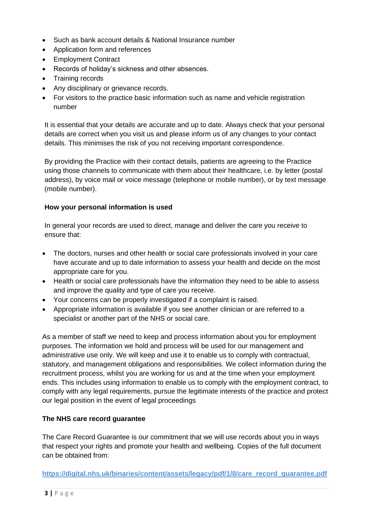- Such as bank account details & National Insurance number
- Application form and references
- Employment Contract
- Records of holiday's sickness and other absences.
- Training records
- Any disciplinary or grievance records.
- For visitors to the practice basic information such as name and vehicle registration number

It is essential that your details are accurate and up to date. Always check that your personal details are correct when you visit us and please inform us of any changes to your contact details. This minimises the risk of you not receiving important correspondence.

By providing the Practice with their contact details, patients are agreeing to the Practice using those channels to communicate with them about their healthcare, i.e. by letter (postal address), by voice mail or voice message (telephone or mobile number), or by text message (mobile number).

#### **How your personal information is used**

In general your records are used to direct, manage and deliver the care you receive to ensure that:

- The doctors, nurses and other health or social care professionals involved in your care have accurate and up to date information to assess your health and decide on the most appropriate care for you.
- Health or social care professionals have the information they need to be able to assess and improve the quality and type of care you receive.
- Your concerns can be properly investigated if a complaint is raised.
- Appropriate information is available if you see another clinician or are referred to a specialist or another part of the NHS or social care.

As a member of staff we need to keep and process information about you for employment purposes. The information we hold and process will be used for our management and administrative use only. We will keep and use it to enable us to comply with contractual, statutory, and management obligations and responsibilities. We collect information during the recruitment process, whilst you are working for us and at the time when your employment ends. This includes using information to enable us to comply with the employment contract, to comply with any legal requirements, pursue the legitimate interests of the practice and protect our legal position in the event of legal proceedings

#### **The NHS care record guarantee**

The Care Record Guarantee is our commitment that we will use records about you in ways that respect your rights and promote your health and wellbeing. Copies of the full document can be obtained from:

**[https://digital.nhs.uk/binaries/content/assets/legacy/pdf/1/8/care\\_record\\_guarantee.pdf](https://digital.nhs.uk/binaries/content/assets/legacy/pdf/1/8/care_record_guarantee.pdf)**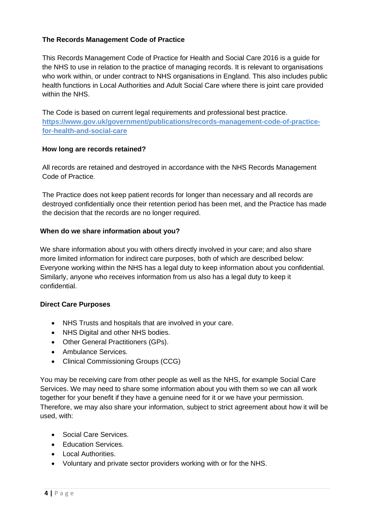# **The Records Management Code of Practice**

This Records Management Code of Practice for Health and Social Care 2016 is a guide for the NHS to use in relation to the practice of managing records. It is relevant to organisations who work within, or under contract to NHS organisations in England. This also includes public health functions in Local Authorities and Adult Social Care where there is joint care provided within the NHS.

The Code is based on current legal requirements and professional best practice. **[https://www.gov.uk/government/publications/records-management-code-of-practice](https://www.gov.uk/government/publications/records-management-code-of-practice-for-health-and-social-care)[for-health-and-social-care](https://www.gov.uk/government/publications/records-management-code-of-practice-for-health-and-social-care)**

#### **How long are records retained?**

All records are retained and destroyed in accordance with the NHS Records Management Code of Practice.

The Practice does not keep patient records for longer than necessary and all records are destroyed confidentially once their retention period has been met, and the Practice has made the decision that the records are no longer required.

#### **When do we share information about you?**

We share information about you with others directly involved in your care; and also share more limited information for indirect care purposes, both of which are described below: Everyone working within the NHS has a legal duty to keep information about you confidential. Similarly, anyone who receives information from us also has a legal duty to keep it confidential.

#### **Direct Care Purposes**

- NHS Trusts and hospitals that are involved in your care.
- NHS Digital and other NHS bodies.
- Other General Practitioners (GPs).
- Ambulance Services.
- Clinical Commissioning Groups (CCG)

You may be receiving care from other people as well as the NHS, for example Social Care Services. We may need to share some information about you with them so we can all work together for your benefit if they have a genuine need for it or we have your permission. Therefore, we may also share your information, subject to strict agreement about how it will be used, with:

- Social Care Services.
- Education Services.
- Local Authorities.
- Voluntary and private sector providers working with or for the NHS.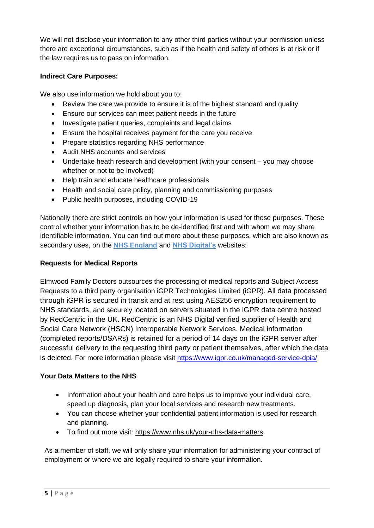We will not disclose your information to any other third parties without your permission unless there are exceptional circumstances, such as if the health and safety of others is at risk or if the law requires us to pass on information.

# **Indirect Care Purposes:**

We also use information we hold about you to:

- Review the care we provide to ensure it is of the highest standard and quality
- Ensure our services can meet patient needs in the future
- Investigate patient queries, complaints and legal claims
- Ensure the hospital receives payment for the care you receive
- Prepare statistics regarding NHS performance
- Audit NHS accounts and services
- Undertake heath research and development (with your consent you may choose whether or not to be involved)
- Help train and educate healthcare professionals
- Health and social care policy, planning and commissioning purposes
- Public health purposes, including COVID-19

Nationally there are strict controls on how your information is used for these purposes. These control whether your information has to be de-identified first and with whom we may share identifiable information. You can find out more about these purposes, which are also known as secondary uses, on the **[NHS England](http://www.england.nhs.uk/)** and **[NHS Digital's](https://digital.nhs.uk/data-and-information/data-collections-and-data-sets/data-collections/general-practice-data-for-planning-and-research/gp-privacy-notice?fbclid=IwAR0s5q1EuiN7A4VfaT8jmtb4dslPsPeZQwl-2CsOSW1tdlVECkfGO5ewTow)** websites:

## **Requests for Medical Reports**

Elmwood Family Doctors outsources the processing of medical reports and Subject Access Requests to a third party organisation iGPR Technologies Limited (iGPR). All data processed through iGPR is secured in transit and at rest using AES256 encryption requirement to NHS standards, and securely located on servers situated in the iGPR data centre hosted by RedCentric in the UK. RedCentric is an NHS Digital verified supplier of Health and Social Care Network (HSCN) Interoperable Network Services. Medical information (completed reports/DSARs) is retained for a period of 14 days on the iGPR server after successful delivery to the requesting third party or patient themselves, after which the data is deleted. For more information please visit<https://www.igpr.co.uk/managed-service-dpia/>

# **Your Data Matters to the NHS**

- Information about your health and care helps us to improve your individual care, speed up diagnosis, plan your local services and research new treatments.
- You can choose whether your confidential patient information is used for research and planning.
- To find out more visit:<https://www.nhs.uk/your-nhs-data-matters>

As a member of staff, we will only share your information for administering your contract of employment or where we are legally required to share your information.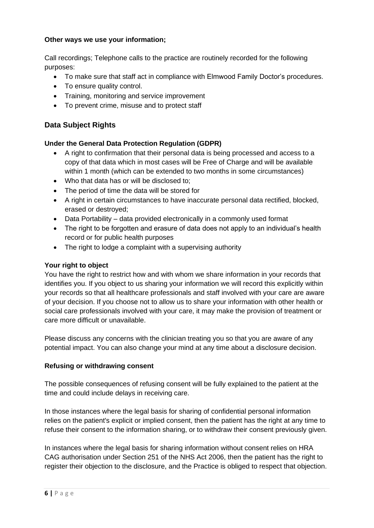#### **Other ways we use your information;**

Call recordings; Telephone calls to the practice are routinely recorded for the following purposes:

- To make sure that staff act in compliance with Elmwood Family Doctor's procedures.
- To ensure quality control.
- Training, monitoring and service improvement
- To prevent crime, misuse and to protect staff

# **Data Subject Rights**

#### **Under the General Data Protection Regulation (GDPR)**

- A right to confirmation that their personal data is being processed and access to a copy of that data which in most cases will be Free of Charge and will be available within 1 month (which can be extended to two months in some circumstances)
- Who that data has or will be disclosed to;
- The period of time the data will be stored for
- A right in certain circumstances to have inaccurate personal data rectified, blocked, erased or destroyed;
- Data Portability data provided electronically in a commonly used format
- The right to be forgotten and erasure of data does not apply to an individual's health record or for public health purposes
- The right to lodge a complaint with a supervising authority

#### **Your right to object**

You have the right to restrict how and with whom we share information in your records that identifies you. If you object to us sharing your information we will record this explicitly within your records so that all healthcare professionals and staff involved with your care are aware of your decision. If you choose not to allow us to share your information with other health or social care professionals involved with your care, it may make the provision of treatment or care more difficult or unavailable.

Please discuss any concerns with the clinician treating you so that you are aware of any potential impact. You can also change your mind at any time about a disclosure decision.

#### **Refusing or withdrawing consent**

The possible consequences of refusing consent will be fully explained to the patient at the time and could include delays in receiving care.

In those instances where the legal basis for sharing of confidential personal information relies on the patient's explicit or implied consent, then the patient has the right at any time to refuse their consent to the information sharing, or to withdraw their consent previously given.

In instances where the legal basis for sharing information without consent relies on HRA CAG authorisation under Section 251 of the NHS Act 2006, then the patient has the right to register their objection to the disclosure, and the Practice is obliged to respect that objection.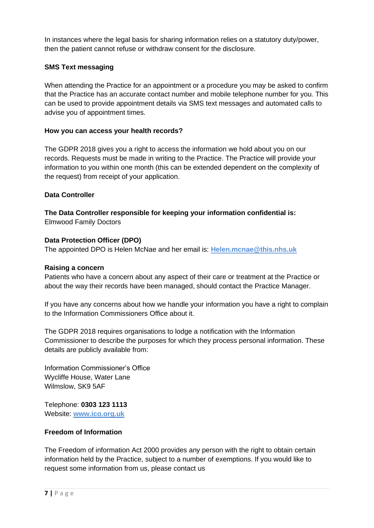In instances where the legal basis for sharing information relies on a statutory duty/power, then the patient cannot refuse or withdraw consent for the disclosure.

# **SMS Text messaging**

When attending the Practice for an appointment or a procedure you may be asked to confirm that the Practice has an accurate contact number and mobile telephone number for you. This can be used to provide appointment details via SMS text messages and automated calls to advise you of appointment times.

# **How you can access your health records?**

The GDPR 2018 gives you a right to access the information we hold about you on our records. Requests must be made in writing to the Practice. The Practice will provide your information to you within one month (this can be extended dependent on the complexity of the request) from receipt of your application.

# **Data Controller**

**The Data Controller responsible for keeping your information confidential is:** Elmwood Family Doctors

#### **Data Protection Officer (DPO)**

The appointed DPO is Helen McNae and her email is: **[Helen.mcnae@this.nhs.uk](mailto:Helen.mcnae@this.nhs.uk)**

#### **Raising a concern**

Patients who have a concern about any aspect of their care or treatment at the Practice or about the way their records have been managed, should contact the Practice Manager.

If you have any concerns about how we handle your information you have a right to complain to the Information Commissioners Office about it.

The GDPR 2018 requires organisations to lodge a notification with the Information Commissioner to describe the purposes for which they process personal information. These details are publicly available from:

Information Commissioner's Office Wycliffe House, Water Lane Wilmslow, SK9 5AF

Telephone: **0303 123 1113** Website: **[www.ico.org.uk](http://www.ico.org.uk/)**

# **Freedom of Information**

The Freedom of information Act 2000 provides any person with the right to obtain certain information held by the Practice, subject to a number of exemptions. If you would like to request some information from us, please contact us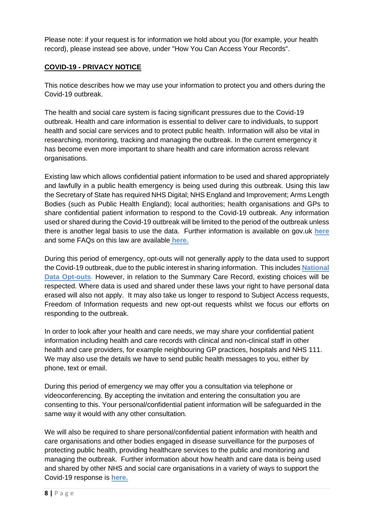Please note: if your request is for information we hold about you (for example, your health record), please instead see above, under "How You Can Access Your Records".

# **COVID-19 - PRIVACY NOTICE**

This notice describes how we may use your information to protect you and others during the Covid-19 outbreak.

The health and social care system is facing significant pressures due to the Covid-19 outbreak. Health and care information is essential to deliver care to individuals, to support health and social care services and to protect public health. Information will also be vital in researching, monitoring, tracking and managing the outbreak. In the current emergency it has become even more important to share health and care information across relevant organisations.

Existing law which allows confidential patient information to be used and shared appropriately and lawfully in a public health emergency is being used during this outbreak. Using this law the Secretary of State has required NHS Digital; NHS England and Improvement; Arms Length Bodies (such as Public Health England); local authorities; health organisations and GPs to share confidential patient information to respond to the Covid-19 outbreak. Any information used or shared during the Covid-19 outbreak will be limited to the period of the outbreak unless there is another legal basis to use the data. Further information is available on gov.uk **[here](https://www.gov.uk/government/publications/coronavirus-covid-19-notification-of-data-controllers-to-share-information?utm_source=d05aa30e-95d2-48e3-93e0-0a696c35bd3c&utm_medium=email&utm_campaign=govuk-notifications&utm_content=immediate)** and some FAQs on this law are available **[here.](https://www.nhsx.nhs.uk/covid-19-response/data-and-information-governance/information-governance/copi-notice-frequently-asked-questions/)**

During this period of emergency, opt-outs will not generally apply to the data used to support the Covid-19 outbreak, due to the public interest in sharing information. This includes **[National](https://www.nhs.uk/your-nhs-data-matters/)  [Data Opt-outs](https://www.nhs.uk/your-nhs-data-matters/)**. However, in relation to the Summary Care Record, existing choices will be respected. Where data is used and shared under these laws your right to have personal data erased will also not apply. It may also take us longer to respond to Subject Access requests, Freedom of Information requests and new opt-out requests whilst we focus our efforts on responding to the outbreak.

In order to look after your health and care needs, we may share your confidential patient information including health and care records with clinical and non-clinical staff in other health and care providers, for example neighbouring GP practices, hospitals and NHS 111. We may also use the details we have to send public health messages to you, either by phone, text or email.

During this period of emergency we may offer you a consultation via telephone or videoconferencing. By accepting the invitation and entering the consultation you are consenting to this. Your personal/confidential patient information will be safeguarded in the same way it would with any other consultation.

We will also be required to share personal/confidential patient information with health and care organisations and other bodies engaged in disease surveillance for the purposes of protecting public health, providing healthcare services to the public and monitoring and managing the outbreak. Further information about how health and care data is being used and shared by other NHS and social care organisations in a variety of ways to support the Covid-19 response is **[here.](https://www.nhsx.nhs.uk/covid-19-response/data-and-information-governance/how-data-supporting-covid-19-response/)**